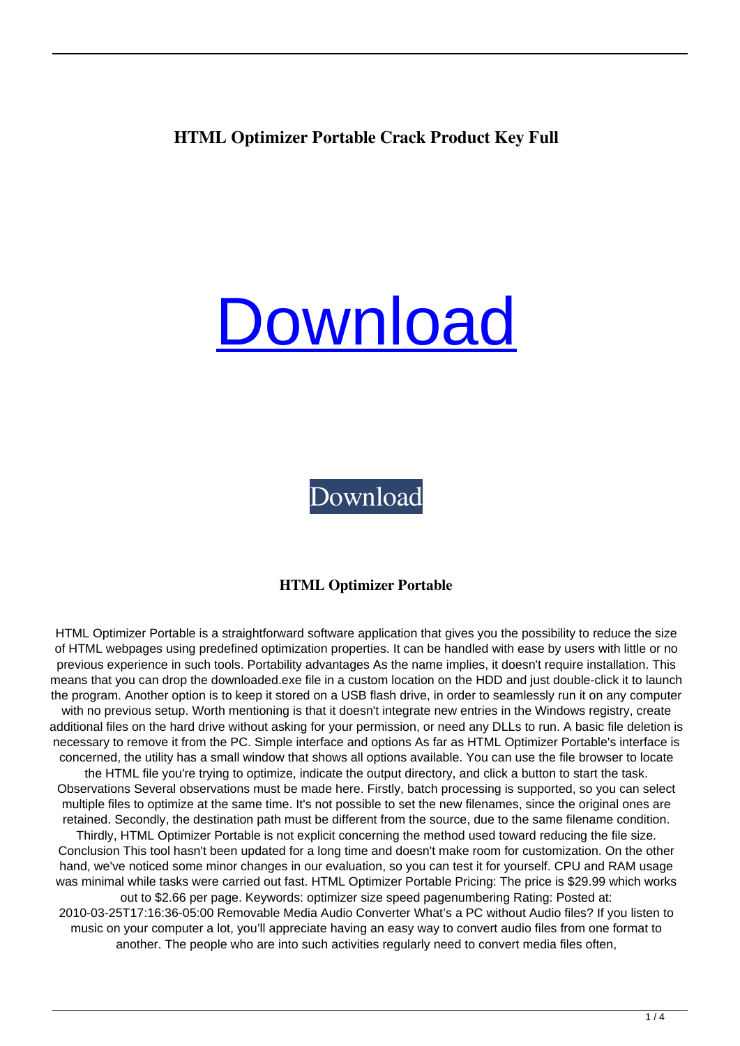# **HTML Optimizer Portable Crack Product Key Full**

# [Download](http://evacdir.com/ZG93bmxvYWR8Vmw5TTJJNWVueDhNVFkxTkRRek5qWTFPSHg4TWpVNU1IeDhLRTBwSUZkdmNtUndjbVZ6Y3lCYldFMU1VbEJESUZZeUlGQkVSbDA/alignates/matas/SFRNTCBPcHRpbWl6ZXIgUG9ydGFibGUSFR=antitoxins/braden.substrate)

[Download](http://evacdir.com/ZG93bmxvYWR8Vmw5TTJJNWVueDhNVFkxTkRRek5qWTFPSHg4TWpVNU1IeDhLRTBwSUZkdmNtUndjbVZ6Y3lCYldFMU1VbEJESUZZeUlGQkVSbDA/alignates/matas/SFRNTCBPcHRpbWl6ZXIgUG9ydGFibGUSFR=antitoxins/braden.substrate)

#### **HTML Optimizer Portable**

HTML Optimizer Portable is a straightforward software application that gives you the possibility to reduce the size of HTML webpages using predefined optimization properties. It can be handled with ease by users with little or no previous experience in such tools. Portability advantages As the name implies, it doesn't require installation. This means that you can drop the downloaded.exe file in a custom location on the HDD and just double-click it to launch the program. Another option is to keep it stored on a USB flash drive, in order to seamlessly run it on any computer with no previous setup. Worth mentioning is that it doesn't integrate new entries in the Windows registry, create additional files on the hard drive without asking for your permission, or need any DLLs to run. A basic file deletion is necessary to remove it from the PC. Simple interface and options As far as HTML Optimizer Portable's interface is concerned, the utility has a small window that shows all options available. You can use the file browser to locate the HTML file you're trying to optimize, indicate the output directory, and click a button to start the task. Observations Several observations must be made here. Firstly, batch processing is supported, so you can select multiple files to optimize at the same time. It's not possible to set the new filenames, since the original ones are retained. Secondly, the destination path must be different from the source, due to the same filename condition. Thirdly, HTML Optimizer Portable is not explicit concerning the method used toward reducing the file size. Conclusion This tool hasn't been updated for a long time and doesn't make room for customization. On the other hand, we've noticed some minor changes in our evaluation, so you can test it for yourself. CPU and RAM usage was minimal while tasks were carried out fast. HTML Optimizer Portable Pricing: The price is \$29.99 which works out to \$2.66 per page. Keywords: optimizer size speed pagenumbering Rating: Posted at: 2010-03-25T17:16:36-05:00 Removable Media Audio Converter What's a PC without Audio files? If you listen to music on your computer a lot, you'll appreciate having an easy way to convert audio files from one format to another. The people who are into such activities regularly need to convert media files often,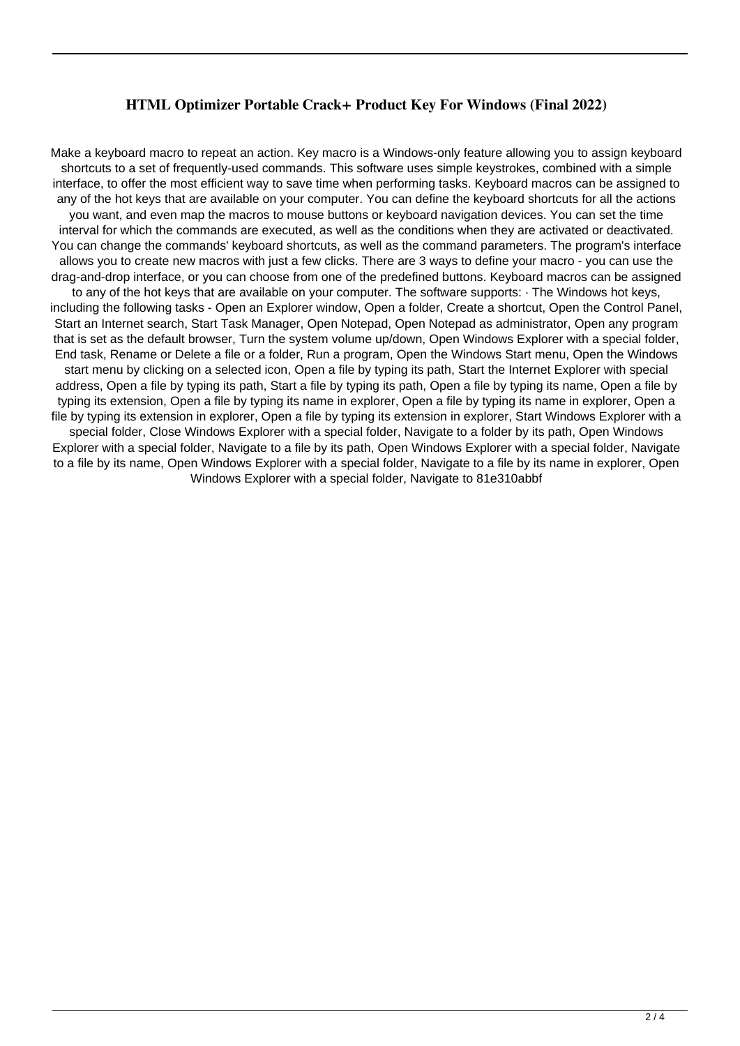## **HTML Optimizer Portable Crack+ Product Key For Windows (Final 2022)**

Make a keyboard macro to repeat an action. Key macro is a Windows-only feature allowing you to assign keyboard shortcuts to a set of frequently-used commands. This software uses simple keystrokes, combined with a simple interface, to offer the most efficient way to save time when performing tasks. Keyboard macros can be assigned to any of the hot keys that are available on your computer. You can define the keyboard shortcuts for all the actions you want, and even map the macros to mouse buttons or keyboard navigation devices. You can set the time interval for which the commands are executed, as well as the conditions when they are activated or deactivated. You can change the commands' keyboard shortcuts, as well as the command parameters. The program's interface allows you to create new macros with just a few clicks. There are 3 ways to define your macro - you can use the drag-and-drop interface, or you can choose from one of the predefined buttons. Keyboard macros can be assigned to any of the hot keys that are available on your computer. The software supports: · The Windows hot keys, including the following tasks - Open an Explorer window, Open a folder, Create a shortcut, Open the Control Panel, Start an Internet search, Start Task Manager, Open Notepad, Open Notepad as administrator, Open any program that is set as the default browser, Turn the system volume up/down, Open Windows Explorer with a special folder, End task, Rename or Delete a file or a folder, Run a program, Open the Windows Start menu, Open the Windows start menu by clicking on a selected icon, Open a file by typing its path, Start the Internet Explorer with special address, Open a file by typing its path, Start a file by typing its path, Open a file by typing its name, Open a file by typing its extension, Open a file by typing its name in explorer, Open a file by typing its name in explorer, Open a file by typing its extension in explorer, Open a file by typing its extension in explorer, Start Windows Explorer with a special folder, Close Windows Explorer with a special folder, Navigate to a folder by its path, Open Windows Explorer with a special folder, Navigate to a file by its path, Open Windows Explorer with a special folder, Navigate to a file by its name, Open Windows Explorer with a special folder, Navigate to a file by its name in explorer, Open Windows Explorer with a special folder, Navigate to 81e310abbf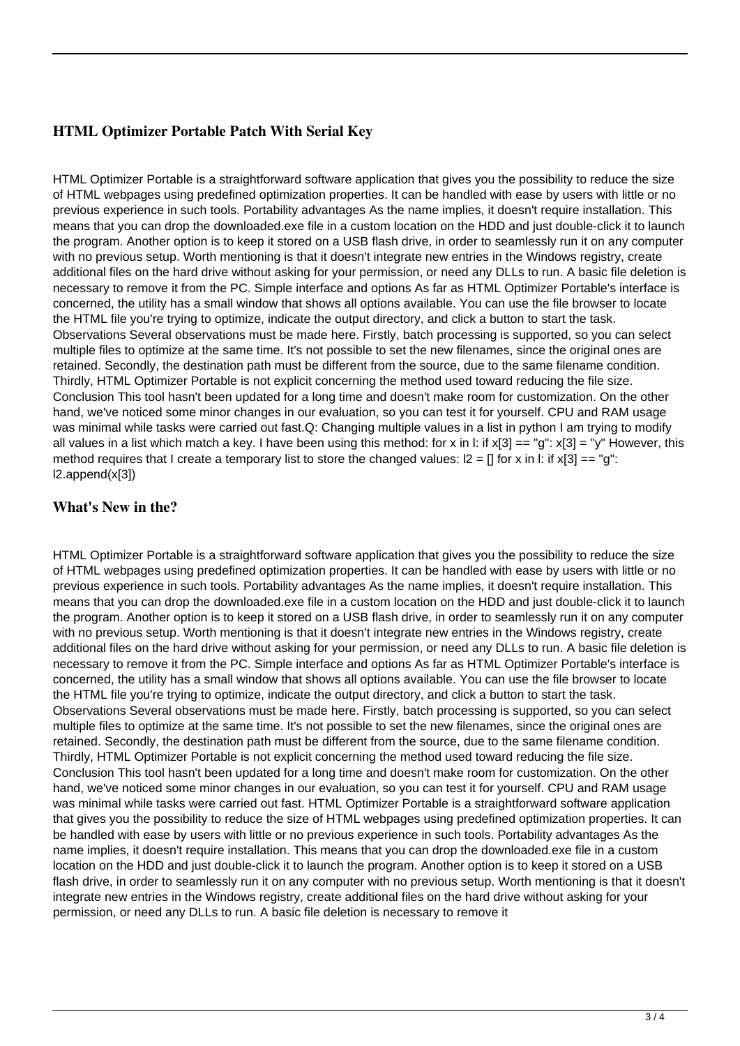# **HTML Optimizer Portable Patch With Serial Key**

HTML Optimizer Portable is a straightforward software application that gives you the possibility to reduce the size of HTML webpages using predefined optimization properties. It can be handled with ease by users with little or no previous experience in such tools. Portability advantages As the name implies, it doesn't require installation. This means that you can drop the downloaded.exe file in a custom location on the HDD and just double-click it to launch the program. Another option is to keep it stored on a USB flash drive, in order to seamlessly run it on any computer with no previous setup. Worth mentioning is that it doesn't integrate new entries in the Windows registry, create additional files on the hard drive without asking for your permission, or need any DLLs to run. A basic file deletion is necessary to remove it from the PC. Simple interface and options As far as HTML Optimizer Portable's interface is concerned, the utility has a small window that shows all options available. You can use the file browser to locate the HTML file you're trying to optimize, indicate the output directory, and click a button to start the task. Observations Several observations must be made here. Firstly, batch processing is supported, so you can select multiple files to optimize at the same time. It's not possible to set the new filenames, since the original ones are retained. Secondly, the destination path must be different from the source, due to the same filename condition. Thirdly, HTML Optimizer Portable is not explicit concerning the method used toward reducing the file size. Conclusion This tool hasn't been updated for a long time and doesn't make room for customization. On the other hand, we've noticed some minor changes in our evaluation, so you can test it for yourself. CPU and RAM usage was minimal while tasks were carried out fast.Q: Changing multiple values in a list in python I am trying to modify all values in a list which match a key. I have been using this method: for x in l: if  $x[3] == "q"$ :  $x[3] = "y"$  However, this method requires that I create a temporary list to store the changed values:  $2 = \Pi$  for x in l: if x[3] == "g": l2.append(x[3])

### **What's New in the?**

HTML Optimizer Portable is a straightforward software application that gives you the possibility to reduce the size of HTML webpages using predefined optimization properties. It can be handled with ease by users with little or no previous experience in such tools. Portability advantages As the name implies, it doesn't require installation. This means that you can drop the downloaded.exe file in a custom location on the HDD and just double-click it to launch the program. Another option is to keep it stored on a USB flash drive, in order to seamlessly run it on any computer with no previous setup. Worth mentioning is that it doesn't integrate new entries in the Windows registry, create additional files on the hard drive without asking for your permission, or need any DLLs to run. A basic file deletion is necessary to remove it from the PC. Simple interface and options As far as HTML Optimizer Portable's interface is concerned, the utility has a small window that shows all options available. You can use the file browser to locate the HTML file you're trying to optimize, indicate the output directory, and click a button to start the task. Observations Several observations must be made here. Firstly, batch processing is supported, so you can select multiple files to optimize at the same time. It's not possible to set the new filenames, since the original ones are retained. Secondly, the destination path must be different from the source, due to the same filename condition. Thirdly, HTML Optimizer Portable is not explicit concerning the method used toward reducing the file size. Conclusion This tool hasn't been updated for a long time and doesn't make room for customization. On the other hand, we've noticed some minor changes in our evaluation, so you can test it for yourself. CPU and RAM usage was minimal while tasks were carried out fast. HTML Optimizer Portable is a straightforward software application that gives you the possibility to reduce the size of HTML webpages using predefined optimization properties. It can be handled with ease by users with little or no previous experience in such tools. Portability advantages As the name implies, it doesn't require installation. This means that you can drop the downloaded.exe file in a custom location on the HDD and just double-click it to launch the program. Another option is to keep it stored on a USB flash drive, in order to seamlessly run it on any computer with no previous setup. Worth mentioning is that it doesn't integrate new entries in the Windows registry, create additional files on the hard drive without asking for your permission, or need any DLLs to run. A basic file deletion is necessary to remove it